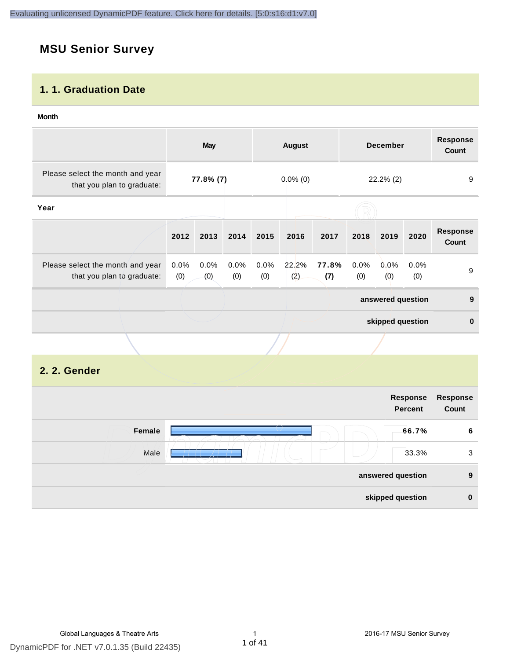## **MSU Senior Survey**

### **1. 1. Graduation Date**

#### **Month**

|                                                                |                | <b>May</b>     |                |                | <b>August</b> |              |                | <b>December</b>   |             | <b>Response</b><br>Count |
|----------------------------------------------------------------|----------------|----------------|----------------|----------------|---------------|--------------|----------------|-------------------|-------------|--------------------------|
| Please select the month and year<br>that you plan to graduate: | 77.8% (7)      |                | $0.0\%$ (0)    |                | 22.2% (2)     |              | 9              |                   |             |                          |
| Year                                                           |                |                |                |                |               |              |                |                   |             |                          |
|                                                                | 2012           | 2013           | 2014           | 2015           | 2016          | 2017         | 2018           | 2019              | 2020        | <b>Response</b><br>Count |
| Please select the month and year<br>that you plan to graduate: | $0.0\%$<br>(0) | $0.0\%$<br>(0) | $0.0\%$<br>(0) | $0.0\%$<br>(0) | 22.2%<br>(2)  | 77.8%<br>(7) | $0.0\%$<br>(0) | 0.0%<br>(0)       | 0.0%<br>(0) | 9                        |
|                                                                |                |                |                |                |               |              |                | answered question |             | 9                        |
|                                                                |                |                |                |                |               |              |                | skipped question  |             | $\mathbf 0$              |
|                                                                |                |                |                |                |               |              |                |                   |             |                          |

#### **2. 2. Gender**

| Response<br><b>Percent</b> |                                       |
|----------------------------|---------------------------------------|
| 66.7%                      | Female                                |
| 33.3%                      | Male                                  |
|                            |                                       |
|                            |                                       |
| Response                   | answered question<br>skipped question |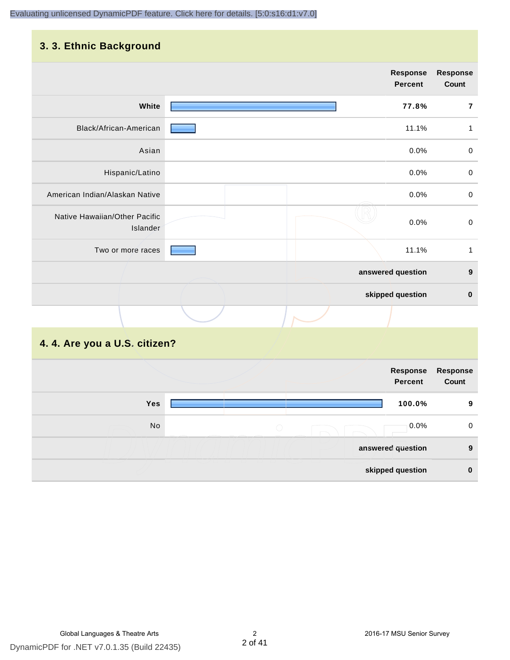## **3. 3. Ethnic Background**

|                                           |  | <b>Response</b><br><b>Percent</b> | Response<br>Count |
|-------------------------------------------|--|-----------------------------------|-------------------|
| White                                     |  | 77.8%                             | $\overline{7}$    |
| Black/African-American                    |  | 11.1%                             | 1                 |
| Asian                                     |  | 0.0%                              | $\mathbf 0$       |
| Hispanic/Latino                           |  | 0.0%                              | $\mathbf 0$       |
| American Indian/Alaskan Native            |  | 0.0%                              | $\pmb{0}$         |
| Native Hawaiian/Other Pacific<br>Islander |  | 0.0%                              | $\boldsymbol{0}$  |
| Two or more races                         |  | 11.1%                             | $\mathbf{1}$      |
|                                           |  | answered question                 | $\boldsymbol{9}$  |
|                                           |  | skipped question                  | $\pmb{0}$         |
|                                           |  |                                   |                   |
| 4. 4. Are you a U.S. citizen?             |  |                                   |                   |

|            | Response<br><b>Percent</b> | Response<br>Count |
|------------|----------------------------|-------------------|
| <b>Yes</b> | 100.0%                     | 9                 |
| No         | $0.0\%$<br>$\cup$          | 0                 |
|            | answered question          | 9                 |
|            | skipped question           | 0                 |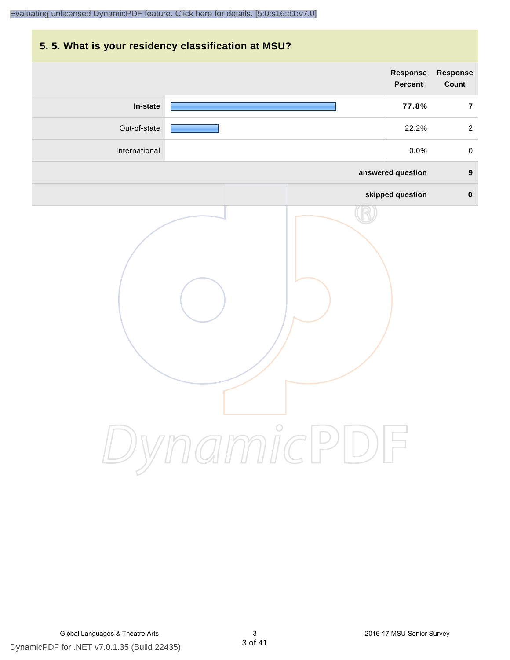## **5. 5. What is your residency classification at MSU?**

|               | Response<br><b>Percent</b> | <b>Response</b><br>Count |
|---------------|----------------------------|--------------------------|
| In-state      | 77.8%                      | $\overline{7}$           |
| Out-of-state  | 22.2%                      | $\overline{a}$           |
| International | 0.0%                       | $\mathsf 0$              |
|               | answered question          | $\boldsymbol{9}$         |
|               | skipped question           | $\pmb{0}$                |
|               | ynamicPD                   |                          |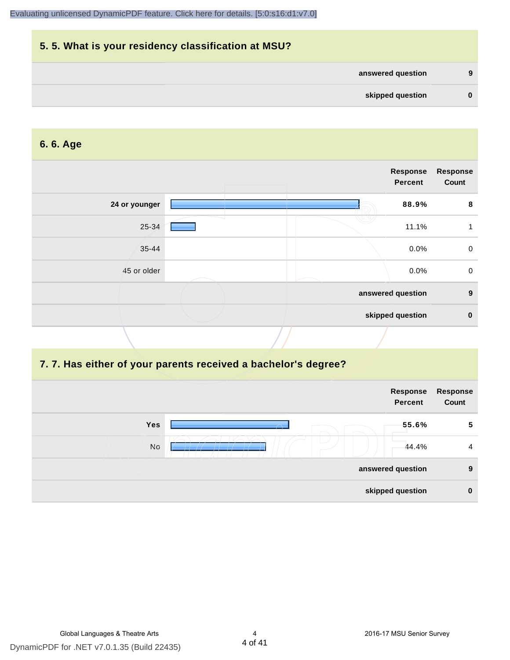## **5. 5. What is your residency classification at MSU? answered question 9 skipped question 0**

#### **6. 6. Age**

|               |  | <b>Response</b><br>Percent | <b>Response</b><br>Count |
|---------------|--|----------------------------|--------------------------|
| 24 or younger |  | 88.9%                      | 8                        |
| 25-34         |  | 11.1%                      | 1                        |
| $35 - 44$     |  | 0.0%                       | $\mathbf 0$              |
| 45 or older   |  | 0.0%                       | $\mathbf 0$              |
|               |  | answered question          | $\boldsymbol{9}$         |
|               |  | skipped question           | $\mathbf 0$              |
|               |  |                            |                          |

#### **7. 7. Has either of your parents received a bachelor's degree?**

| Response<br>Count | Response<br><b>Percent</b> |     |
|-------------------|----------------------------|-----|
| 5                 | 55.6%                      | Yes |
| $\overline{4}$    | 44.4%                      | No  |
| 9                 | answered question          |     |
| $\mathbf 0$       | skipped question           |     |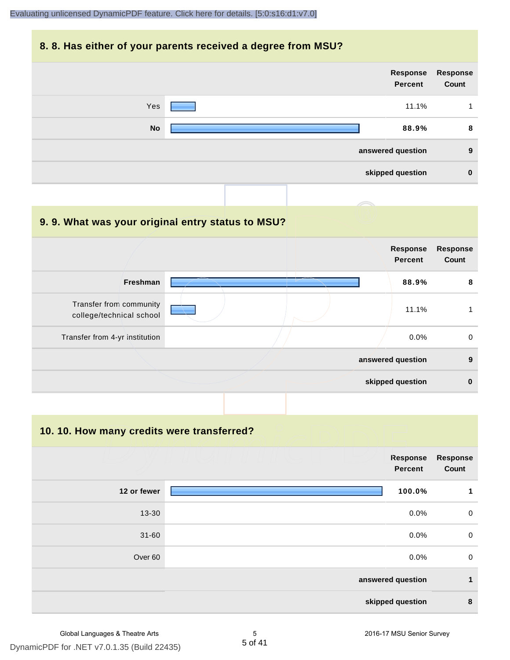#### **8. 8. Has either of your parents received a degree from MSU?**

|           |  | <b>Response</b><br><b>Percent</b> | Response<br>Count |
|-----------|--|-----------------------------------|-------------------|
| Yes       |  | 11.1%                             |                   |
| <b>No</b> |  | 88.9%                             | 8                 |
|           |  | answered question                 | 9                 |
|           |  | skipped question                  | $\mathbf 0$       |
|           |  |                                   |                   |

#### **9. 9. What was your original entry status to MSU?**

|                                                     | <b>Response</b><br><b>Percent</b> | <b>Response</b><br>Count |
|-----------------------------------------------------|-----------------------------------|--------------------------|
| <b>Freshman</b>                                     | 88.9%                             | 8                        |
| Transfer from community<br>college/technical school | 11.1%                             |                          |
| Transfer from 4-yr institution                      | $0.0\%$                           | $\mathbf 0$              |
|                                                     | answered question                 | 9                        |
|                                                     | skipped question                  | $\bf{0}$                 |

**10. 10. How many credits were transferred?**

|                    | <b>Response</b><br><b>Percent</b> | <b>Response</b><br>Count |
|--------------------|-----------------------------------|--------------------------|
| 12 or fewer        | 100.0%                            | 1                        |
| 13-30              | 0.0%                              | $\overline{0}$           |
| $31 - 60$          | 0.0%                              | $\overline{0}$           |
| Over <sub>60</sub> | 0.0%                              | $\overline{0}$           |
|                    | answered question                 | 1                        |
|                    | skipped question                  | 8                        |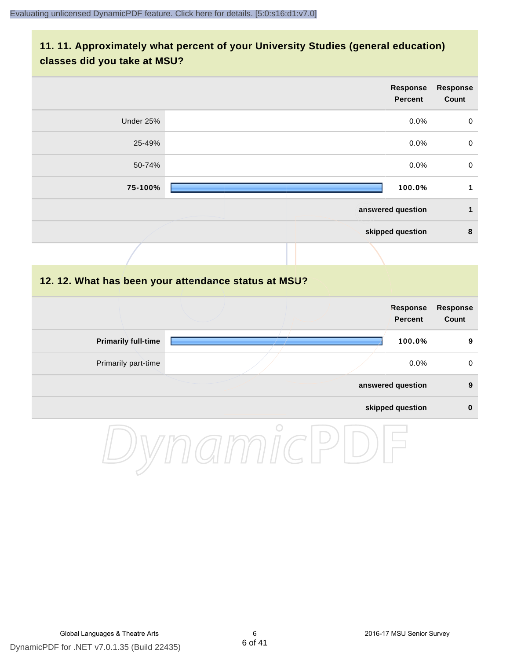### **11. 11. Approximately what percent of your University Studies (general education) classes did you take at MSU?**

|                            | <b>Response</b><br><b>Percent</b>                    | <b>Response</b><br>Count        |
|----------------------------|------------------------------------------------------|---------------------------------|
| Under 25%                  | 0.0%                                                 | $\mathsf{O}\xspace$             |
| 25-49%                     | 0.0%                                                 | $\mathbf 0$                     |
| 50-74%                     | 0.0%                                                 | $\mathbf 0$                     |
| 75-100%                    | 100.0%                                               | $\mathbf{1}$                    |
|                            | answered question                                    | $\mathbf{1}$                    |
|                            | skipped question                                     | $\bf8$                          |
|                            |                                                      |                                 |
|                            | 12. 12. What has been your attendance status at MSU? |                                 |
|                            | <b>Response</b><br><b>Percent</b>                    | <b>Response</b><br><b>Count</b> |
| <b>Primarily full-time</b> | 100.0%                                               | 9                               |
| Primarily part-time        | 0.0%                                                 | $\pmb{0}$                       |
|                            | answered question                                    | $\boldsymbol{9}$                |
|                            | skipped question                                     | $\pmb{0}$                       |
|                            | $\bigcirc$                                           |                                 |

DynamicPDF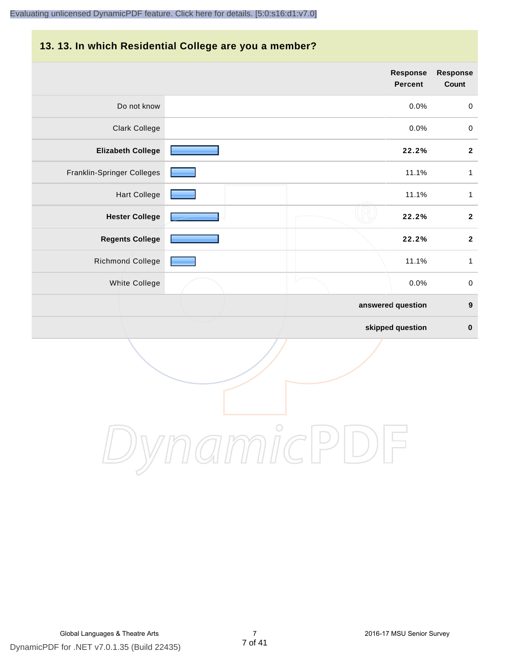## **13. 13. In which Residential College are you a member?**

|                            | <b>Response</b><br><b>Percent</b> | <b>Response</b><br>Count |
|----------------------------|-----------------------------------|--------------------------|
| Do not know                | 0.0%                              | $\boldsymbol{0}$         |
| <b>Clark College</b>       | 0.0%                              | $\boldsymbol{0}$         |
| <b>Elizabeth College</b>   | 22.2%                             | $\boldsymbol{2}$         |
| Franklin-Springer Colleges | 11.1%                             | 1                        |
| <b>Hart College</b>        | 11.1%                             | $\mathbf{1}$             |
| <b>Hester College</b>      | 22.2%                             | $\boldsymbol{2}$         |
| <b>Regents College</b>     | 22.2%                             | $\boldsymbol{2}$         |
| Richmond College           | 11.1%                             | $\mathbf{1}$             |
| White College              | 0.0%                              | $\pmb{0}$                |
|                            | answered question                 | $\boldsymbol{9}$         |
|                            | skipped question                  | $\pmb{0}$                |

DynamicPDF

DynamicPDF for .NET v7.0.1.35 (Build 22435) Global Languages & Theatre Arts 7 2016-17 MSU Senior Survey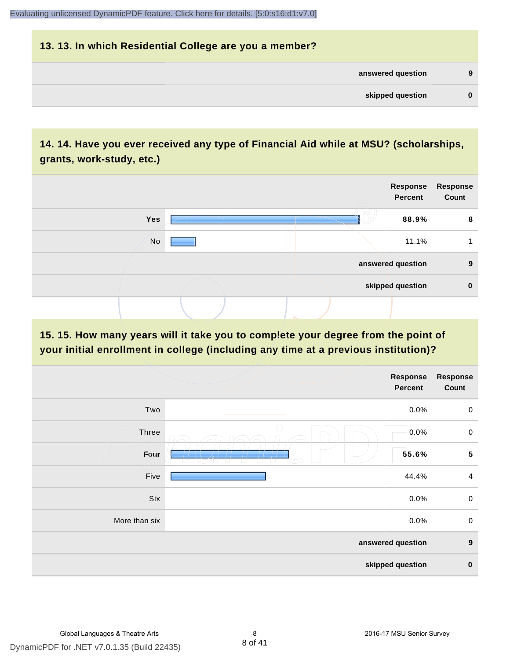## **13. 13. In which Residential College are you a member? answered question 9 skipped question 0**

## **14. 14. Have you ever received any type of Financial Aid while at MSU? (scholarships, grants, work-study, etc.)**



**15. 15. How many years will it take you to complete your degree from the point of your initial enrollment in college (including any time at a previous institution)?**

| Response<br>Count | Response<br><b>Percent</b>                                        |               |
|-------------------|-------------------------------------------------------------------|---------------|
| $\boldsymbol{0}$  | 0.0%                                                              | Two           |
| $\mathsf 0$       | 0.0%                                                              | Three         |
| ${\bf 5}$         | 55.6%<br>$\sqrt{1 + (1 + 1)^2}$<br>__<br>$\overline{\phantom{a}}$ | Four          |
| $\overline{4}$    | 44.4%                                                             | Five          |
| $\mathsf 0$       | 0.0%                                                              | Six           |
| $\mathsf 0$       | 0.0%                                                              | More than six |
| $\boldsymbol{9}$  | answered question                                                 |               |
| $\pmb{0}$         | skipped question                                                  |               |
|                   |                                                                   |               |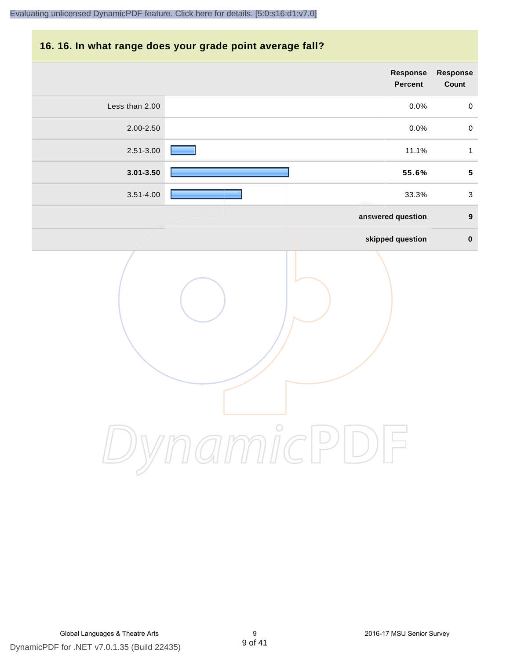## **16. 16. In what range does your grade point average fall?**

|                | Response<br><b>Percent</b> | Response<br>Count         |
|----------------|----------------------------|---------------------------|
| Less than 2.00 | 0.0%                       | $\mathbf 0$               |
| 2.00-2.50      | 0.0%                       | $\mathbf 0$               |
| 2.51-3.00      | 11.1%                      | $\mathbf{1}$              |
| $3.01 - 3.50$  | 55.6%                      | ${\bf 5}$                 |
| $3.51 - 4.00$  | 33.3%                      | $\ensuremath{\mathsf{3}}$ |
|                | answered question          | $\boldsymbol{9}$          |
|                | skipped question           | $\pmb{0}$                 |
|                | micP                       |                           |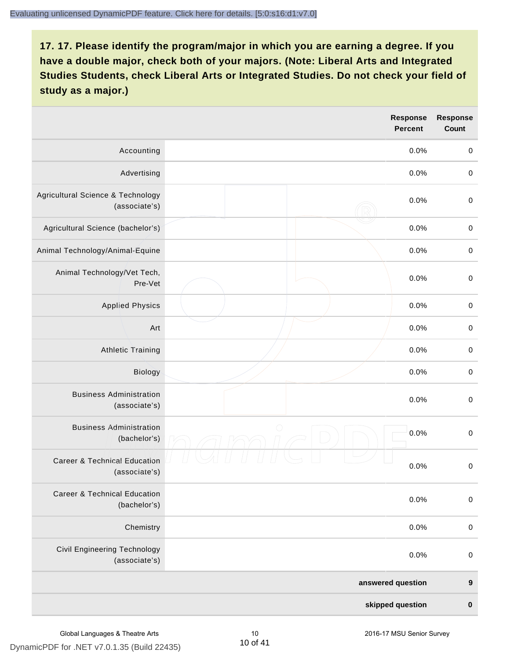|                                                          | <b>Response</b><br><b>Percent</b> | <b>Response</b><br><b>Count</b> |
|----------------------------------------------------------|-----------------------------------|---------------------------------|
| Accounting                                               | 0.0%                              | $\boldsymbol{0}$                |
| Advertising                                              | 0.0%                              | $\boldsymbol{0}$                |
| Agricultural Science & Technology<br>(associate's)       | 0.0%                              | $\boldsymbol{0}$                |
| Agricultural Science (bachelor's)                        | 0.0%                              | $\boldsymbol{0}$                |
| Animal Technology/Animal-Equine                          | 0.0%                              | $\mathbf 0$                     |
| Animal Technology/Vet Tech,<br>Pre-Vet                   | 0.0%                              | $\mathbf 0$                     |
| <b>Applied Physics</b>                                   | 0.0%                              | $\boldsymbol{0}$                |
| Art                                                      | 0.0%                              | $\boldsymbol{0}$                |
| <b>Athletic Training</b>                                 | 0.0%                              | $\pmb{0}$                       |
| Biology                                                  | 0.0%                              | $\pmb{0}$                       |
| <b>Business Administration</b><br>(associate's)          | 0.0%                              | $\boldsymbol{0}$                |
| <b>Business Administration</b><br>(bachelor's)           | $\bigcirc$<br>0.0%                | $\boldsymbol{0}$                |
| <b>Career &amp; Technical Education</b><br>(associate's) | 0.0%                              | $\pmb{0}$                       |
| <b>Career &amp; Technical Education</b><br>(bachelor's)  | 0.0%                              | $\mathbf 0$                     |
| Chemistry                                                | 0.0%                              | $\pmb{0}$                       |
| Civil Engineering Technology<br>(associate's)            | 0.0%                              | $\pmb{0}$                       |
|                                                          | answered question                 | $\boldsymbol{9}$                |
|                                                          | skipped question                  | $\pmb{0}$                       |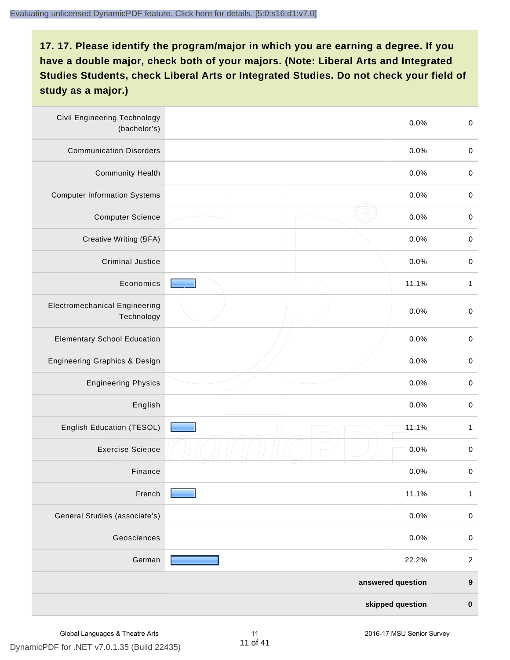| <b>Civil Engineering Technology</b><br>(bachelor's) | 0.0%                | $\mathbf 0$      |
|-----------------------------------------------------|---------------------|------------------|
| <b>Communication Disorders</b>                      | 0.0%                | $\pmb{0}$        |
| <b>Community Health</b>                             | 0.0%                | $\pmb{0}$        |
| <b>Computer Information Systems</b>                 | 0.0%                | $\pmb{0}$        |
| <b>Computer Science</b>                             | 0.0%                | $\pmb{0}$        |
| Creative Writing (BFA)                              | 0.0%                | $\pmb{0}$        |
| <b>Criminal Justice</b>                             | 0.0%                | $\mathbf 0$      |
| Economics                                           | 11.1%               | 1                |
| <b>Electromechanical Engineering</b><br>Technology  | 0.0%                | $\mathbf 0$      |
| <b>Elementary School Education</b>                  | 0.0%                | $\,0\,$          |
| Engineering Graphics & Design                       | 0.0%                | $\mathbf 0$      |
| <b>Engineering Physics</b>                          | 0.0%                | $\pmb{0}$        |
| English                                             | 0.0%                | $\pmb{0}$        |
| English Education (TESOL)                           | $\bigcirc$<br>11.1% | $\mathbf{1}$     |
| <b>Exercise Science</b>                             | 0.0%                | $\pmb{0}$        |
| Finance                                             | 0.0%                | $\,0\,$          |
| French                                              | 11.1%               | $\mathbf{1}$     |
| General Studies (associate's)                       | 0.0%                | $\mathbf 0$      |
| Geosciences                                         | 0.0%                | $\pmb{0}$        |
| German                                              | 22.2%               | $\boldsymbol{2}$ |
|                                                     | answered question   | $\boldsymbol{9}$ |
|                                                     | skipped question    | $\pmb{0}$        |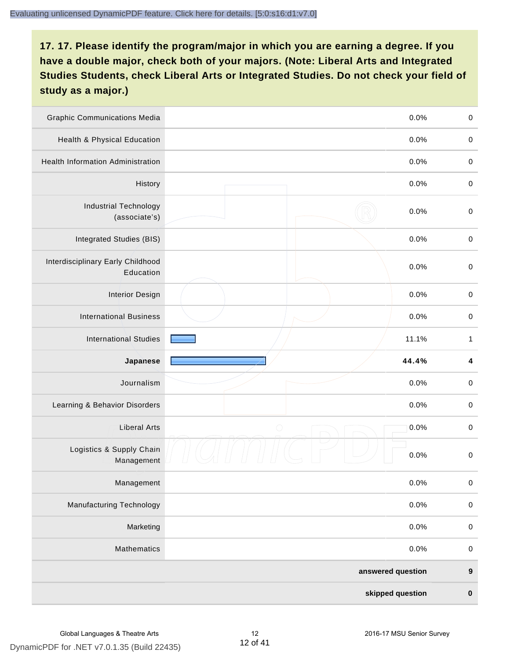| <b>Graphic Communications Media</b>            | 0.0%               | $\boldsymbol{0}$        |
|------------------------------------------------|--------------------|-------------------------|
| Health & Physical Education                    | 0.0%               | $\pmb{0}$               |
| <b>Health Information Administration</b>       | 0.0%               | $\pmb{0}$               |
| History                                        | 0.0%               | $\boldsymbol{0}$        |
| <b>Industrial Technology</b><br>(associate's)  | 0.0%               | $\pmb{0}$               |
| Integrated Studies (BIS)                       | 0.0%               | $\pmb{0}$               |
| Interdisciplinary Early Childhood<br>Education | 0.0%               | $\pmb{0}$               |
| <b>Interior Design</b>                         | 0.0%               | $\boldsymbol{0}$        |
| <b>International Business</b>                  | 0.0%               | $\pmb{0}$               |
| <b>International Studies</b>                   | 11.1%              | $\mathbf{1}$            |
| Japanese                                       | 44.4%              | $\overline{\mathbf{4}}$ |
| Journalism                                     | 0.0%               | $\pmb{0}$               |
| Learning & Behavior Disorders                  | 0.0%               | $\boldsymbol{0}$        |
| <b>Liberal Arts</b>                            | $\bigcirc$<br>0.0% | $\pmb{0}$               |
| Logistics & Supply Chain<br>Management         | 0.0%               | $\pmb{0}$               |
| Management                                     | 0.0%               | $\pmb{0}$               |
| <b>Manufacturing Technology</b>                | 0.0%               | $\mathbf 0$             |
| Marketing                                      | 0.0%               | $\pmb{0}$               |
| Mathematics                                    | 0.0%               | $\,0\,$                 |
|                                                | answered question  | $\boldsymbol{9}$        |
|                                                | skipped question   | $\pmb{0}$               |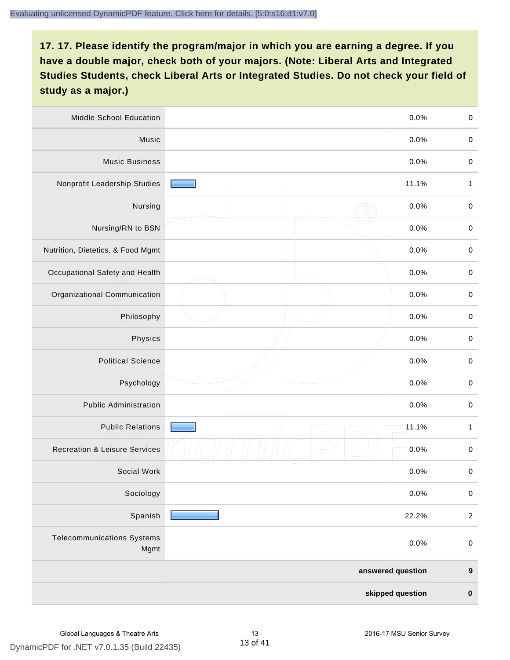| Middle School Education                   | 0.0%                | $\pmb{0}$        |
|-------------------------------------------|---------------------|------------------|
| Music                                     | 0.0%                | $\boldsymbol{0}$ |
| <b>Music Business</b>                     | 0.0%                | $\,0\,$          |
| Nonprofit Leadership Studies              | 11.1%               | $\mathbf{1}$     |
| Nursing                                   | 0.0%                | $\pmb{0}$        |
| Nursing/RN to BSN                         | 0.0%                | $\pmb{0}$        |
| Nutrition, Dietetics, & Food Mgmt         | 0.0%                | $\mathbf 0$      |
| Occupational Safety and Health            | 0.0%                | $\pmb{0}$        |
| Organizational Communication              | 0.0%                | $\pmb{0}$        |
| Philosophy                                | 0.0%                | $\,0\,$          |
| Physics                                   | 0.0%                | $\mathbf 0$      |
| <b>Political Science</b>                  | 0.0%                | $\mathbf 0$      |
| Psychology                                | 0.0%                | $\pmb{0}$        |
| <b>Public Administration</b>              | 0.0%                | $\pmb{0}$        |
| <b>Public Relations</b>                   | $\bigcirc$<br>11.1% | $\mathbf{1}$     |
| <b>Recreation &amp; Leisure Services</b>  | 0.0%                | $\,0\,$          |
| Social Work                               | 0.0%                | 0                |
| Sociology                                 | 0.0%                | $\pmb{0}$        |
| Spanish                                   | 22.2%               | $\sqrt{2}$       |
| <b>Telecommunications Systems</b><br>Mgmt | 0.0%                | $\mathbf 0$      |
|                                           | answered question   | $\boldsymbol{9}$ |
|                                           | skipped question    | $\pmb{0}$        |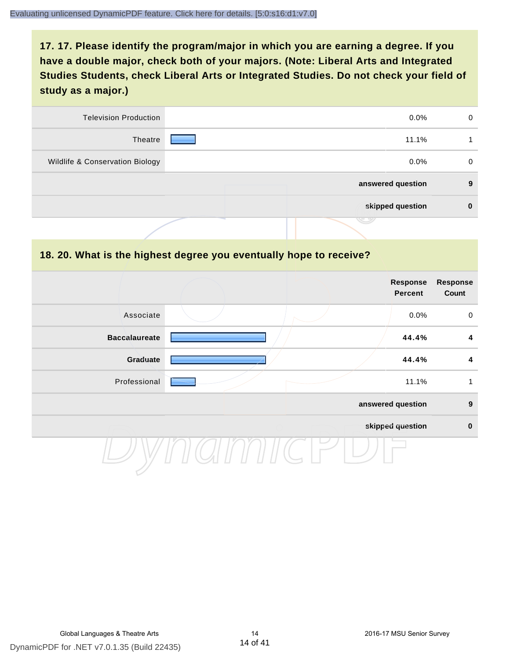| <b>Television Production</b>    | $0.0\%$           | 0        |
|---------------------------------|-------------------|----------|
| Theatre                         | 11.1%             |          |
| Wildlife & Conservation Biology | $0.0\%$           | $\Omega$ |
|                                 | answered question | 9        |
|                                 | skipped question  | 0        |
|                                 | رىپ               |          |

#### **18. 20. What is the highest degree you eventually hope to receive?**

|                      |  | <b>Response</b><br><b>Percent</b> | Response<br>Count |
|----------------------|--|-----------------------------------|-------------------|
| Associate            |  | 0.0%                              | $\mathbf 0$       |
| <b>Baccalaureate</b> |  | 44.4%                             | 4                 |
| Graduate             |  | 44.4%                             | $\boldsymbol{4}$  |
| Professional         |  | 11.1%                             | 1                 |
|                      |  | answered question                 | $\boldsymbol{9}$  |
|                      |  | skipped question                  | $\pmb{0}$         |
|                      |  |                                   |                   |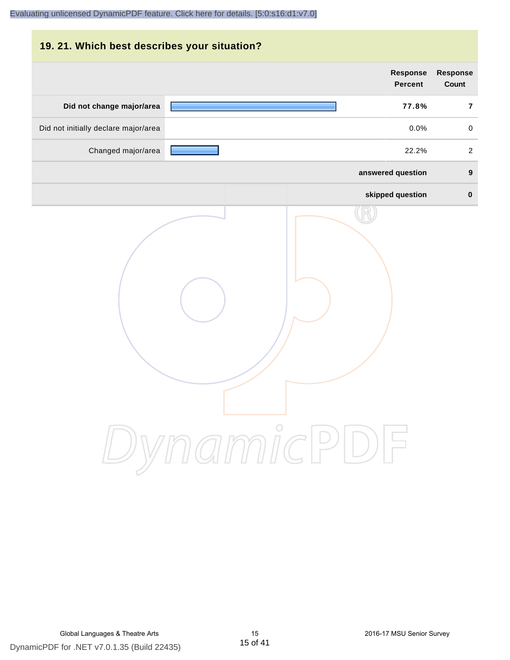## **19. 21. Which best describes your situation?**

|                                      | <b>Response</b><br><b>Percent</b> | Response<br>Count |
|--------------------------------------|-----------------------------------|-------------------|
| Did not change major/area            | 77.8%                             | $\overline{7}$    |
| Did not initially declare major/area | 0.0%                              | $\mathsf 0$       |
| Changed major/area                   | 22.2%                             | $\overline{a}$    |
|                                      | answered question                 | $\boldsymbol{9}$  |
|                                      | skipped question                  | $\mathbf 0$       |
|                                      | ynamicPD                          |                   |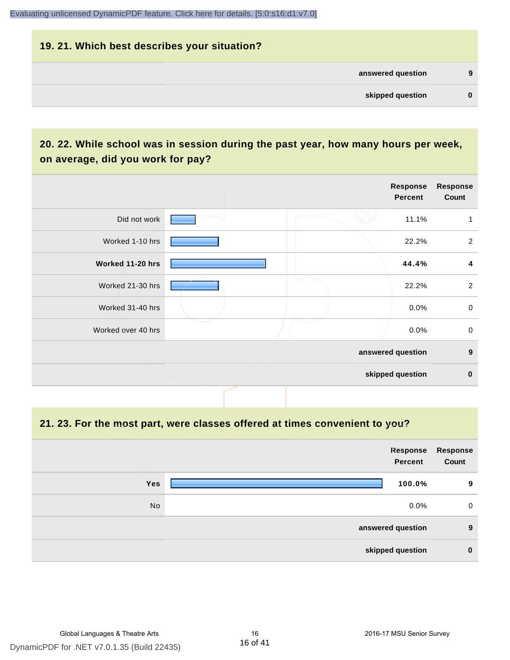#### **19. 21. Which best describes your situation?**

| 9 | answered question |  |
|---|-------------------|--|
| 0 | skipped question  |  |
|   |                   |  |

## **20. 22. While school was in session during the past year, how many hours per week, on average, did you work for pay?**

|                    | Response<br>Percent | Response<br>Count         |
|--------------------|---------------------|---------------------------|
| Did not work       |                     | 11.1%                     |
| Worked 1-10 hrs    |                     | $\overline{2}$<br>22.2%   |
| Worked 11-20 hrs   |                     | $\boldsymbol{4}$<br>44.4% |
| Worked 21-30 hrs   |                     | $\overline{2}$<br>22.2%   |
| Worked 31-40 hrs   |                     | $\mathsf 0$<br>$0.0\%$    |
| Worked over 40 hrs |                     | $\mathbf 0$<br>$0.0\%$    |
|                    | answered question   | $\boldsymbol{9}$          |
|                    | skipped question    | $\mathbf 0$               |

**21. 23. For the most part, were classes offered at times convenient to you?**

|            | Response<br><b>Percent</b> | Response<br>Count |
|------------|----------------------------|-------------------|
| <b>Yes</b> | 100.0%                     | 9                 |
| No         | $0.0\%$                    | 0                 |
|            | answered question          | 9                 |
|            | skipped question           | $\bf{0}$          |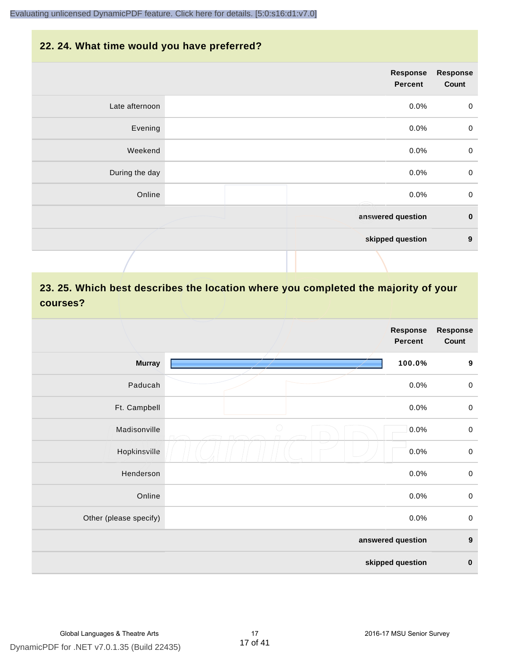#### **22. 24. What time would you have preferred?**

|                | <b>Response</b><br><b>Percent</b> | <b>Response</b><br>Count |
|----------------|-----------------------------------|--------------------------|
| Late afternoon | $0.0\%$                           | $\mathbf 0$              |
| Evening        | 0.0%                              | $\mathbf 0$              |
| Weekend        | 0.0%                              | $\boldsymbol{0}$         |
| During the day | 0.0%                              | $\mathbf 0$              |
| Online         | 0.0%<br>Æ                         | $\pmb{0}$                |
|                | answered question                 | $\pmb{0}$                |
|                | skipped question                  | $\boldsymbol{9}$         |
|                |                                   |                          |

## **23. 25. Which best describes the location where you completed the majority of your courses?**

|                        |            | <b>Response</b><br><b>Percent</b> | <b>Response</b><br>Count |
|------------------------|------------|-----------------------------------|--------------------------|
| <b>Murray</b>          |            | 100.0%                            | $\boldsymbol{9}$         |
| Paducah                |            | 0.0%                              | $\boldsymbol{0}$         |
| Ft. Campbell           |            | 0.0%                              | $\boldsymbol{0}$         |
| Madisonville           | $\bigcirc$ | 0.0%                              | $\boldsymbol{0}$         |
| Hopkinsville           |            | 0.0%                              | $\boldsymbol{0}$         |
| Henderson              |            | 0.0%                              | $\mathbf 0$              |
| Online                 |            | 0.0%                              | $\boldsymbol{0}$         |
| Other (please specify) |            | 0.0%                              | $\boldsymbol{0}$         |
|                        |            | answered question                 | $\boldsymbol{9}$         |
|                        |            | skipped question                  | $\pmb{0}$                |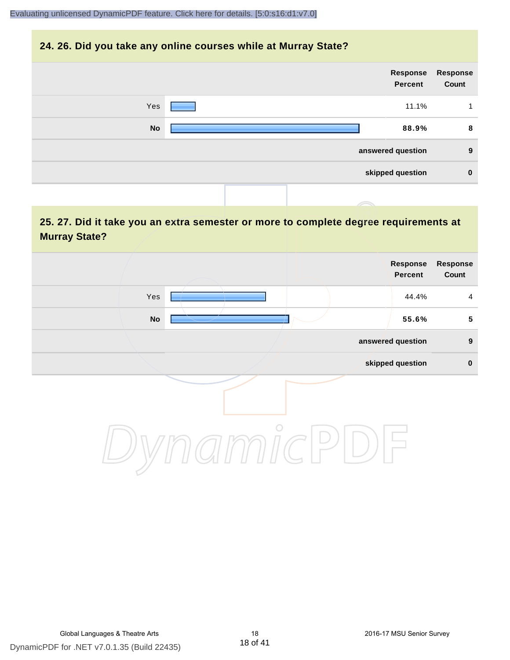#### **24. 26. Did you take any online courses while at Murray State?**

| Response<br>Count | Response<br><b>Percent</b> |  |           |  |
|-------------------|----------------------------|--|-----------|--|
| 1                 | 11.1%                      |  | Yes       |  |
| 8                 | 88.9%                      |  | <b>No</b> |  |
| 9                 | answered question          |  |           |  |
| $\mathbf 0$       | skipped question           |  |           |  |
|                   |                            |  |           |  |

## **25. 27. Did it take you an extra semester or more to complete degree requirements at Murray State?**

|            | <b>Response</b><br>Percent | Response<br>Count |
|------------|----------------------------|-------------------|
| Yes        | 44.4%                      | $\overline{4}$    |
| ${\sf No}$ | 55.6%                      | $5\phantom{.0}$   |
|            | answered question          | $\boldsymbol{9}$  |
|            | skipped question           | $\pmb{0}$         |
| $\bigcirc$ |                            |                   |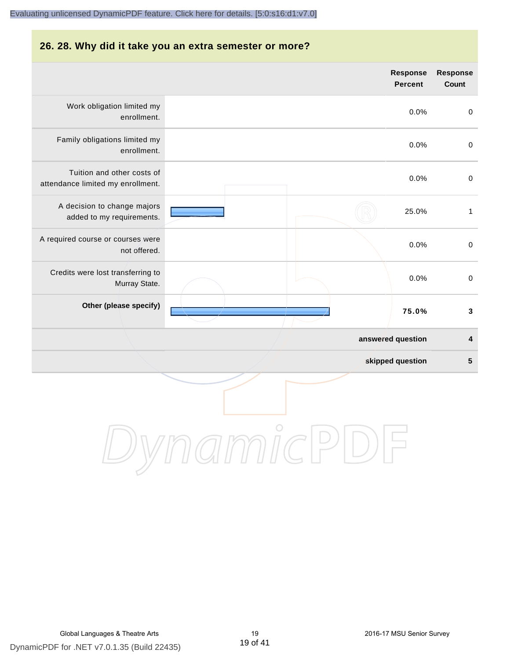#### **26. 28. Why did it take you an extra semester or more?**

|                                                                 |                   | <b>Response</b><br><b>Percent</b> | <b>Response</b><br>Count |
|-----------------------------------------------------------------|-------------------|-----------------------------------|--------------------------|
| Work obligation limited my<br>enrollment.                       |                   | 0.0%                              | $\boldsymbol{0}$         |
| Family obligations limited my<br>enrollment.                    |                   | 0.0%                              | $\boldsymbol{0}$         |
| Tuition and other costs of<br>attendance limited my enrollment. |                   | 0.0%                              | $\boldsymbol{0}$         |
| A decision to change majors<br>added to my requirements.        |                   | 25.0%                             | $\mathbf{1}$             |
| A required course or courses were<br>not offered.               |                   | 0.0%                              | $\boldsymbol{0}$         |
| Credits were lost transferring to<br>Murray State.              |                   | 0.0%                              | $\boldsymbol{0}$         |
| Other (please specify)                                          |                   | 75.0%                             | $\mathbf 3$              |
|                                                                 | answered question |                                   | 4                        |
|                                                                 | skipped question  |                                   | $\overline{\mathbf{5}}$  |
|                                                                 |                   |                                   |                          |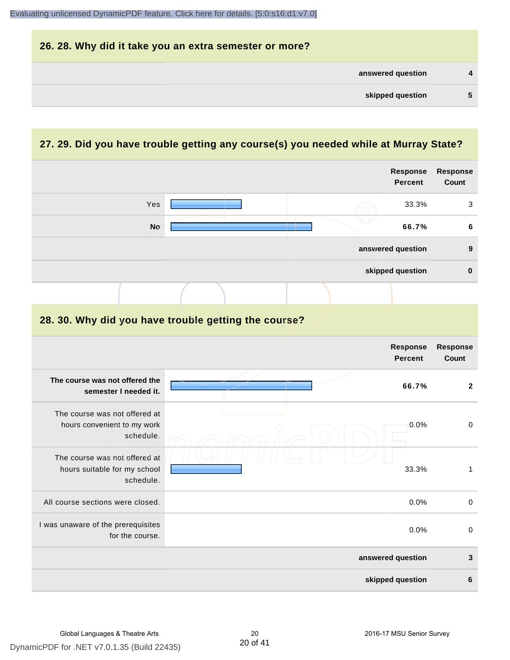| answered question | 4 |
|-------------------|---|
| skipped question  | 5 |

## **27. 29. Did you have trouble getting any course(s) you needed while at Murray State?**

|                                                                           |                                                      | <b>Response</b><br><b>Percent</b> | <b>Response</b><br>Count |
|---------------------------------------------------------------------------|------------------------------------------------------|-----------------------------------|--------------------------|
| Yes                                                                       |                                                      | 33.3%                             | 3                        |
| <b>No</b>                                                                 |                                                      | 66.7%                             | $\bf 6$                  |
|                                                                           |                                                      | answered question                 | $\boldsymbol{9}$         |
|                                                                           |                                                      | skipped question                  | $\pmb{0}$                |
|                                                                           |                                                      |                                   |                          |
|                                                                           | 28. 30. Why did you have trouble getting the course? |                                   |                          |
|                                                                           |                                                      | <b>Response</b><br><b>Percent</b> | <b>Response</b><br>Count |
| The course was not offered the<br>semester I needed it.                   |                                                      | 66.7%                             | $\overline{2}$           |
| The course was not offered at<br>hours convenient to my work<br>schedule. | ∩                                                    | 0.0%                              | $\mathbf 0$              |
| The course was not offered at<br>hours suitable for my school             |                                                      | 33.3%                             | 1                        |

|                                                       | skipped question  | 6            |
|-------------------------------------------------------|-------------------|--------------|
|                                                       | answered question | 3            |
| I was unaware of the prerequisites<br>for the course. | $0.0\%$           | 0            |
| All course sections were closed.                      | $0.0\%$           | $\mathbf{0}$ |
| schedule.                                             |                   |              |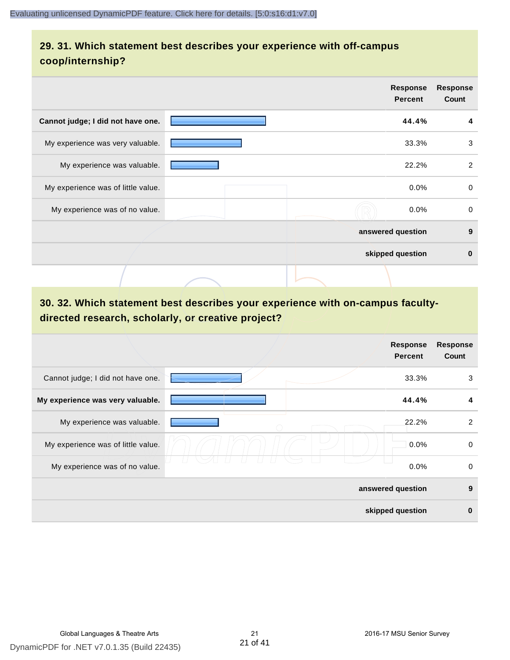## **29. 31. Which statement best describes your experience with off-campus coop/internship?**

|                                    | <b>Response</b><br><b>Percent</b> | <b>Response</b><br>Count |
|------------------------------------|-----------------------------------|--------------------------|
| Cannot judge; I did not have one.  | 44.4%                             | 4                        |
| My experience was very valuable.   | 33.3%                             | 3                        |
| My experience was valuable.        | 22.2%                             | 2                        |
| My experience was of little value. | $0.0\%$                           | 0                        |
| My experience was of no value.     | 0.0%                              | $\mathbf 0$              |
|                                    | answered question                 | 9                        |
|                                    | skipped question                  | $\bf{0}$                 |
|                                    |                                   |                          |

## **30. 32. Which statement best describes your experience with on-campus facultydirected research, scholarly, or creative project?**

|                                    | <b>Response</b><br><b>Percent</b> | <b>Response</b><br>Count |
|------------------------------------|-----------------------------------|--------------------------|
| Cannot judge; I did not have one.  | 33.3%                             | 3                        |
| My experience was very valuable.   | 44.4%                             | 4                        |
| My experience was valuable.        | 22.2%                             | 2                        |
| My experience was of little value. | 0.0%                              | $\mathbf 0$              |
| My experience was of no value.     | $0.0\%$                           | 0                        |
|                                    | answered question                 | 9                        |
|                                    | skipped question                  | $\bf{0}$                 |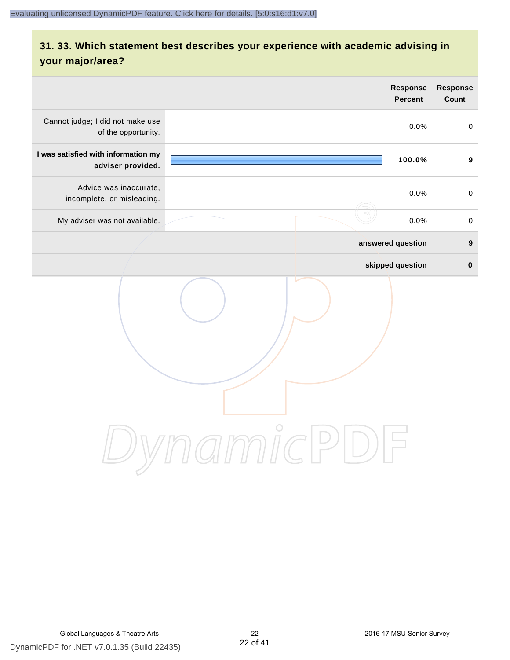## **31. 33. Which statement best describes your experience with academic advising in your major/area?**

| <b>Response</b><br><b>Percent</b>      | Response<br>Count   |
|----------------------------------------|---------------------|
| 0.0%                                   | $\pmb{0}$           |
| 100.0%                                 | $\boldsymbol{9}$    |
| 0.0%                                   | $\mathsf{O}\xspace$ |
| 0.0%                                   | $\mathbf 0$         |
| answered question                      | $\boldsymbol{9}$    |
| skipped question                       | $\pmb{0}$           |
| $\bigcirc$<br>$\overline{\phantom{a}}$ |                     |
|                                        | amnicPl             |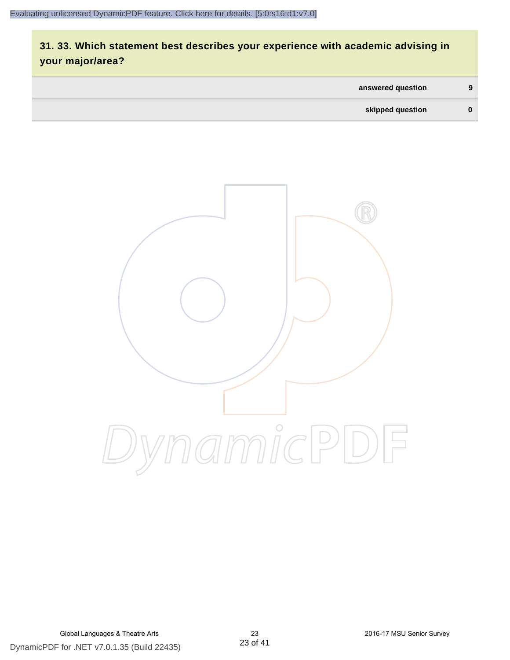## **31. 33. Which statement best describes your experience with academic advising in your major/area?**

| answered question | 9 |
|-------------------|---|
| skipped question  |   |

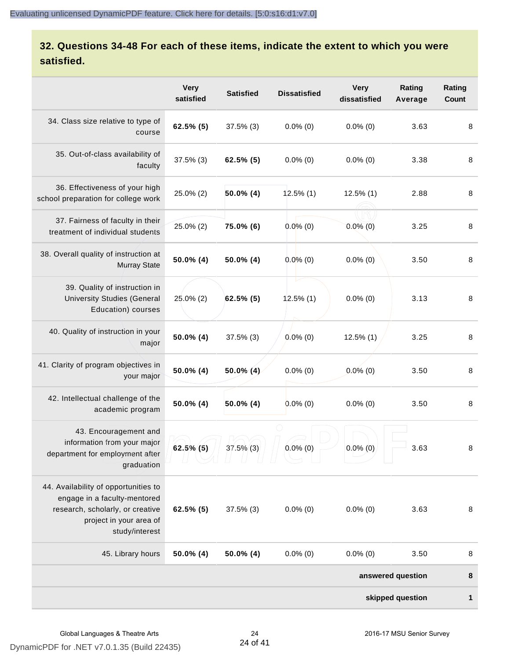## **32. Questions 34-48 For each of these items, indicate the extent to which you were satisfied.**

|                                                                                                                                                       | <b>Very</b><br>satisfied | <b>Satisfied</b> | <b>Dissatisfied</b> | <b>Very</b><br>dissatisfied | Rating<br>Average | Rating<br><b>Count</b> |
|-------------------------------------------------------------------------------------------------------------------------------------------------------|--------------------------|------------------|---------------------|-----------------------------|-------------------|------------------------|
| 34. Class size relative to type of<br>course                                                                                                          | 62.5% (5)                | $37.5\%$ (3)     | $0.0\%$ (0)         | $0.0\%$ (0)                 | 3.63              | 8                      |
| 35. Out-of-class availability of<br>faculty                                                                                                           | $37.5\%$ (3)             | $62.5\%$ (5)     | $0.0\%$ (0)         | $0.0\%$ (0)                 | 3.38              | 8                      |
| 36. Effectiveness of your high<br>school preparation for college work                                                                                 | 25.0% (2)                | $50.0\%$ (4)     | $12.5\%$ (1)        | $12.5\%$ (1)                | 2.88              | 8                      |
| 37. Fairness of faculty in their<br>treatment of individual students                                                                                  | 25.0% (2)                | 75.0% (6)        | $0.0\%$ (0)         | $0.0\%$ (0)                 | 3.25              | 8                      |
| 38. Overall quality of instruction at<br><b>Murray State</b>                                                                                          | 50.0% (4)                | $50.0\%$ (4)     | $0.0\%$ (0)         | $0.0\%$ (0)                 | 3.50              | 8                      |
| 39. Quality of instruction in<br><b>University Studies (General</b><br>Education) courses                                                             | $25.0\%$ (2)             | $62.5\%$ (5)     | $12.5\%$ (1)        | $0.0\%$ (0)                 | 3.13              | 8                      |
| 40. Quality of instruction in your<br>major                                                                                                           | 50.0% (4)                | $37.5\%$ (3)     | $0.0\%$ (0)         | $12.5\%$ (1)                | 3.25              | 8                      |
| 41. Clarity of program objectives in<br>your major                                                                                                    | 50.0% (4)                | $50.0\%$ (4)     | $0.0\%$ (0)         | $0.0\%$ (0)                 | 3.50              | 8                      |
| 42. Intellectual challenge of the<br>academic program                                                                                                 | 50.0% (4)                | $50.0\%$ (4)     | $0.0\%$ (0)         | $0.0\%$ (0)                 | 3.50              | 8                      |
| 43. Encouragement and<br>information from your major<br>department for employment after<br>graduation                                                 | $62.5\%$ (5)             | $37.5\%$ (3)     | $0.0\%$ (0)         | $0.0\%$ (0)                 | 3.63              | 8                      |
| 44. Availability of opportunities to<br>engage in a faculty-mentored<br>research, scholarly, or creative<br>project in your area of<br>study/interest | 62.5% (5)                | $37.5\%$ (3)     | $0.0\%$ (0)         | $0.0\%$ (0)                 | 3.63              | 8                      |
| 45. Library hours                                                                                                                                     | 50.0% (4)                | $50.0\%$ (4)     | $0.0\%$ (0)         | $0.0\%$ (0)                 | 3.50              | 8                      |
|                                                                                                                                                       |                          |                  |                     |                             | answered question | 8                      |
|                                                                                                                                                       |                          |                  |                     |                             | skipped question  | 1                      |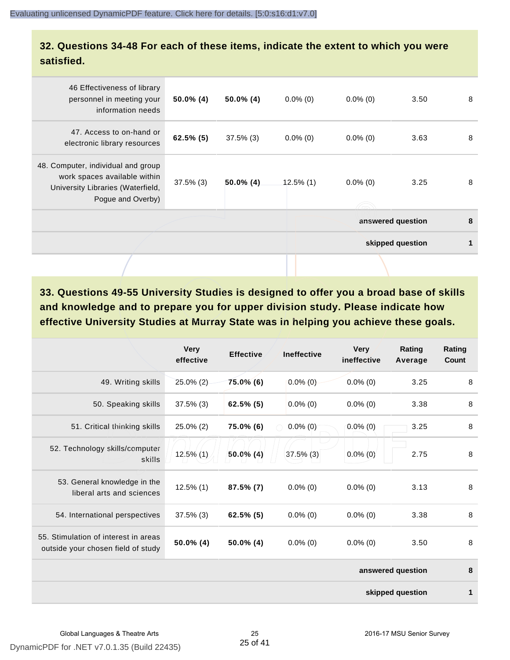### **32. Questions 34-48 For each of these items, indicate the extent to which you were satisfied.**

| 46 Effectiveness of library<br>personnel in meeting your<br>information needs                                                | $50.0\%$ (4) | $50.0\%$ (4) | $0.0\%$ (0) | $0.0\%$ (0) | 3.50              | 8 |
|------------------------------------------------------------------------------------------------------------------------------|--------------|--------------|-------------|-------------|-------------------|---|
| 47. Access to on-hand or<br>electronic library resources                                                                     | $62.5\%$ (5) | $37.5\%$ (3) | $0.0\%$ (0) | $0.0\%$ (0) | 3.63              | 8 |
| 48. Computer, individual and group<br>work spaces available within<br>University Libraries (Waterfield,<br>Pogue and Overby) | $37.5\%$ (3) | $50.0\%$ (4) | 12.5% (1)   | $0.0\%$ (0) | 3.25              | 8 |
|                                                                                                                              |              |              |             |             | answered question | 8 |
|                                                                                                                              |              |              |             |             | skipped question  | 1 |
|                                                                                                                              |              |              |             |             |                   |   |

**33. Questions 49-55 University Studies is designed to offer you a broad base of skills and knowledge and to prepare you for upper division study. Please indicate how effective University Studies at Murray State was in helping you achieve these goals.**

|                                                                            | <b>Very</b><br>effective | <b>Effective</b> | <b>Ineffective</b> | <b>Very</b><br>ineffective | Rating<br>Average | Rating<br><b>Count</b> |
|----------------------------------------------------------------------------|--------------------------|------------------|--------------------|----------------------------|-------------------|------------------------|
| 49. Writing skills                                                         | $25.0\%$ (2)             | $75.0\%$ (6)     | $0.0\%$ (0)        | $0.0\%$ (0)                | 3.25              | 8                      |
| 50. Speaking skills                                                        | $37.5\%$ (3)             | $62.5\%$ (5)     | $0.0\%$ (0)        | $0.0\%$ (0)                | 3.38              | 8                      |
| 51. Critical thinking skills                                               | 25.0% (2)                | 75.0% (6)        | $0.0\%$ (0)        | $0.0\%(0)$                 | 3.25              | 8                      |
| 52. Technology skills/computer<br>skills                                   | $12.5\%$ (1)             | $50.0\%$ (4)     | $37.5\%$ (3)       | $0.0\%$ (0)                | 2.75              | 8                      |
| 53. General knowledge in the<br>liberal arts and sciences                  | $12.5\%$ (1)             | $87.5\%$ (7)     | $0.0\%$ (0)        | $0.0\%$ (0)                | 3.13              | 8                      |
| 54. International perspectives                                             | $37.5\%$ (3)             | $62.5\%$ (5)     | $0.0\%$ (0)        | $0.0\%$ (0)                | 3.38              | 8                      |
| 55. Stimulation of interest in areas<br>outside your chosen field of study | 50.0% (4)                | $50.0\%$ (4)     | $0.0\%$ (0)        | $0.0\%$ (0)                | 3.50              | 8                      |
|                                                                            |                          |                  |                    |                            | answered question | 8                      |
|                                                                            |                          |                  |                    |                            | skipped question  | 1                      |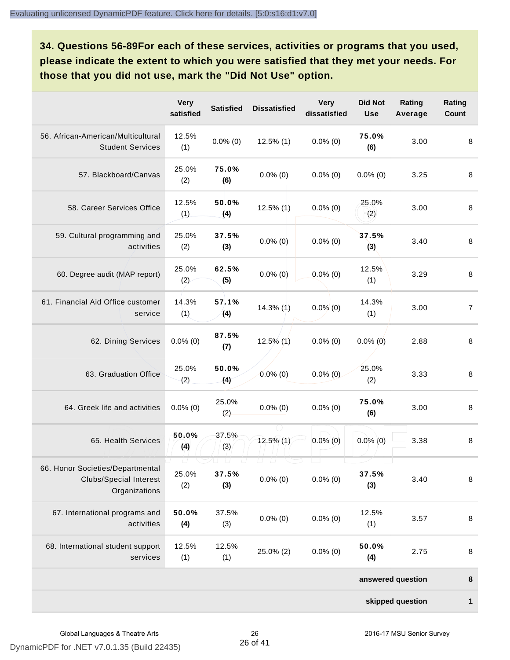**34. Questions 56-89For each of these services, activities or programs that you used, please indicate the extent to which you were satisfied that they met your needs. For those that you did not use, mark the "Did Not Use" option.**

|                                                                                    | <b>Very</b><br>satisfied | <b>Satisfied</b>                   | <b>Dissatisfied</b>          | <b>Very</b><br>dissatisfied | <b>Did Not</b><br><b>Use</b> | Rating<br>Average | Rating<br>Count |
|------------------------------------------------------------------------------------|--------------------------|------------------------------------|------------------------------|-----------------------------|------------------------------|-------------------|-----------------|
| 56. African-American/Multicultural<br><b>Student Services</b>                      | 12.5%<br>(1)             | $0.0\%$ (0)                        | $12.5\%$ (1)                 | $0.0\%$ (0)                 | 75.0%<br>(6)                 | 3.00              | 8               |
| 57. Blackboard/Canvas                                                              | 25.0%<br>(2)             | 75.0%<br>(6)                       | $0.0\%$ (0)                  | $0.0\%$ (0)                 | $0.0\%$ (0)                  | 3.25              | 8               |
| 58. Career Services Office                                                         | 12.5%<br>(1)             | 50.0%<br>(4)                       | $12.5\%$ (1)                 | $0.0\%$ (0)                 | 25.0%<br>(2)                 | 3.00              | $\,8\,$         |
| 59. Cultural programming and<br>activities                                         | 25.0%<br>(2)             | 37.5%<br>(3)                       | $0.0\%$ (0)                  | $0.0\%$ (0)                 | 37.5%<br>(3)                 | 3.40              | 8               |
| 60. Degree audit (MAP report)                                                      | 25.0%<br>(2)             | 62.5%<br>(5)                       | $0.0\%$ (0)                  | $0.0\%$ (0)                 | 12.5%<br>(1)                 | 3.29              | $\,8\,$         |
| 61. Financial Aid Office customer<br>service                                       | 14.3%<br>(1)             | 57.1%<br>(4)                       | $14.3\%$ (1)                 | $0.0\%$ (0)                 | 14.3%<br>(1)                 | 3.00              | $\overline{7}$  |
| 62. Dining Services                                                                | $0.0\%$ (0)              | 87.5%<br>(7)                       | $12.5\%$ (1)                 | $0.0\%$ (0)                 | $0.0\%$ (0)                  | 2.88              | 8               |
| 63. Graduation Office                                                              | 25.0%<br>(2)             | 50.0%<br>(4)                       | $0.0\%$ (0)                  | $0.0\%$ (0)                 | 25.0%<br>(2)                 | 3.33              | 8               |
| 64. Greek life and activities                                                      | $0.0\%$ (0)              | 25.0%<br>(2)                       | $0.0\%$ (0)                  | $0.0\%$ (0)                 | 75.0%<br>(6)                 | 3.00              | 8               |
| 65. Health Services                                                                | 50.0%<br>(4)             | 37.5%<br>(3)                       | $12.5\%$ (1)                 | $0.0\%$ (0)                 | $0.0\%$ (0)                  | 3.38              | 8               |
| 66. Honor Societies/Departmental<br><b>Clubs/Special Interest</b><br>Organizations | $\sqcup$<br>25.0%<br>(2) | $\Box$<br>$\sqcup$<br>37.5%<br>(3) | U.<br>$\perp$<br>$0.0\%$ (0) | $0.0\%$ (0)                 | 37.5%<br>(3)                 | 3.40              | $\, 8$          |
| 67. International programs and<br>activities                                       | 50.0%<br>(4)             | 37.5%<br>(3)                       | $0.0\%$ (0)                  | $0.0\%$ (0)                 | 12.5%<br>(1)                 | 3.57              | 8               |
| 68. International student support<br>services                                      | 12.5%<br>(1)             | 12.5%<br>(1)                       | 25.0% (2)                    | $0.0\%$ (0)                 | 50.0%<br>(4)                 | 2.75              | 8               |
|                                                                                    |                          |                                    |                              |                             |                              | answered question | 8               |
|                                                                                    |                          |                                    |                              |                             |                              | skipped question  | 1               |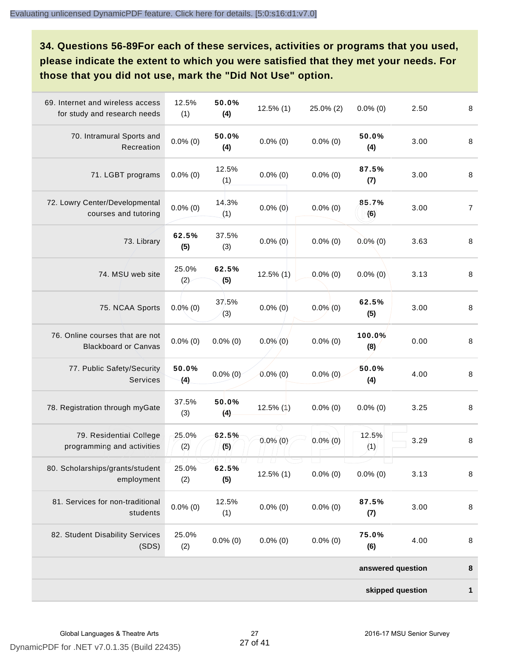**34. Questions 56-89For each of these services, activities or programs that you used, please indicate the extent to which you were satisfied that they met your needs. For those that you did not use, mark the "Did Not Use" option.**

| 69. Internet and wireless access<br>for study and research needs | 12.5%<br>(1) | 50.0%<br>(4) | $12.5\%$ (1)                  | 25.0% (2)   | $0.0\%$ (0)       | 2.50 | $\,8\,$        |
|------------------------------------------------------------------|--------------|--------------|-------------------------------|-------------|-------------------|------|----------------|
| 70. Intramural Sports and<br>Recreation                          | $0.0\%$ (0)  | 50.0%<br>(4) | $0.0\%$ (0)                   | $0.0\%$ (0) | 50.0%<br>(4)      | 3.00 | 8              |
| 71. LGBT programs                                                | $0.0\%$ (0)  | 12.5%<br>(1) | $0.0\%$ (0)                   | $0.0\%$ (0) | 87.5%<br>(7)      | 3.00 | 8              |
| 72. Lowry Center/Developmental<br>courses and tutoring           | $0.0\%$ (0)  | 14.3%<br>(1) | $0.0\%$ (0)                   | $0.0\%$ (0) | 85.7%<br>(6)      | 3.00 | $\overline{7}$ |
| 73. Library                                                      | 62.5%<br>(5) | 37.5%<br>(3) | $0.0\%$ (0)                   | $0.0\%$ (0) | $0.0\%$ (0)       | 3.63 | 8              |
| 74. MSU web site                                                 | 25.0%<br>(2) | 62.5%<br>(5) | 12.5% (1)                     | $0.0\%$ (0) | $0.0\%$ (0)       | 3.13 | 8              |
| 75. NCAA Sports                                                  | $0.0\%$ (0)  | 37.5%<br>(3) | $0.0\%$ (0)                   | $0.0\%$ (0) | 62.5%<br>(5)      | 3.00 | $\bf 8$        |
| 76. Online courses that are not<br><b>Blackboard or Canvas</b>   | $0.0\%$ (0)  | $0.0\%$ (0)  | $0.0\%$ (0)                   | $0.0\%$ (0) | 100.0%<br>(8)     | 0.00 | 8              |
| 77. Public Safety/Security<br>Services                           | 50.0%<br>(4) | $0.0\%$ (0)  | $0.0\%$ (0)                   | $0.0\%$ (0) | 50.0%<br>(4)      | 4.00 | 8              |
| 78. Registration through myGate                                  | 37.5%<br>(3) | 50.0%<br>(4) | $12.5\%$ (1)                  | $0.0\%$ (0) | $0.0\%$ (0)       | 3.25 | 8              |
| 79. Residential College<br>programming and activities            | 25.0%<br>(2) | 62.5%<br>(5) | $0.0\%$ (0)                   | $0.0\%$ (0) | 12.5%<br>(1)      | 3.29 | 8              |
| 80. Scholarships/grants/student<br>employment                    | 25.0%<br>(2) | 62.5%<br>(5) | U.<br>$\perp$<br>$12.5\%$ (1) | $0.0\%$ (0) | $0.0\%$ (0)       | 3.13 | 8              |
| 81. Services for non-traditional<br>students                     | $0.0\%$ (0)  | 12.5%<br>(1) | $0.0\%$ (0)                   | $0.0\%$ (0) | 87.5%<br>(7)      | 3.00 | 8              |
| 82. Student Disability Services<br>(SDS)                         | 25.0%<br>(2) | $0.0\%$ (0)  | $0.0\%$ (0)                   | $0.0\%$ (0) | 75.0%<br>(6)      | 4.00 | $\bf 8$        |
|                                                                  |              |              |                               |             | answered question |      | 8              |
|                                                                  |              |              |                               |             | skipped question  |      | 1              |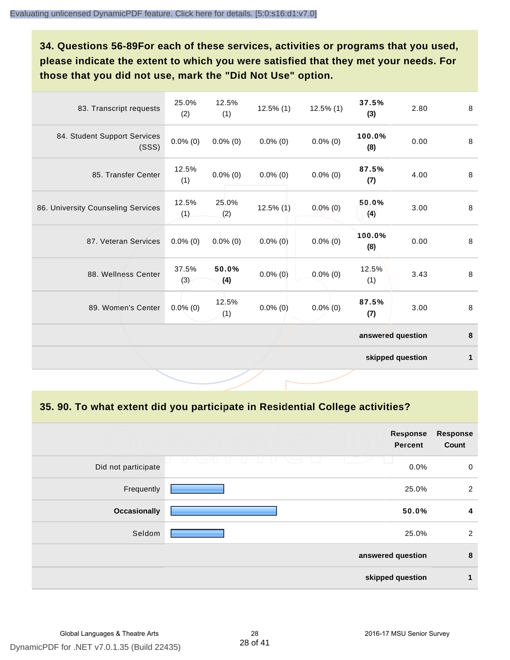**34. Questions 56-89For each of these services, activities or programs that you used, please indicate the extent to which you were satisfied that they met your needs. For those that you did not use, mark the "Did Not Use" option.**

| 83. Transcript requests               | 25.0%<br>(2) | 12.5%<br>(1) | $12.5\%$ (1) | $12.5\%$ (1) | 37.5%<br>(3)      | 2.80             | 8            |
|---------------------------------------|--------------|--------------|--------------|--------------|-------------------|------------------|--------------|
| 84. Student Support Services<br>(SSS) | $0.0\%$ (0)  | $0.0\%$ (0)  | $0.0\%$ (0)  | $0.0\%$ (0)  | 100.0%<br>(8)     | 0.00             | $\,8\,$      |
| 85. Transfer Center                   | 12.5%<br>(1) | $0.0\%$ (0)  | $0.0\%$ (0)  | $0.0\%$ (0)  | 87.5%<br>(7)      | 4.00             | 8            |
| 86. University Counseling Services    | 12.5%<br>(1) | 25.0%<br>(2) | $12.5\%$ (1) | $0.0\%$ (0)  | 50.0%<br>(4)      | 3.00             | 8            |
| 87. Veteran Services                  | $0.0\%$ (0)  | $0.0\%$ (0)  | $0.0\%$ (0)  | $0.0\%$ (0)  | 100.0%<br>(8)     | 0.00             | 8            |
| 88. Wellness Center                   | 37.5%<br>(3) | 50.0%<br>(4) | $0.0\%$ (0)  | $0.0\%$ (0)  | 12.5%<br>(1)      | 3.43             | 8            |
| 89. Women's Center                    | $0.0\%$ (0)  | 12.5%<br>(1) | $0.0\%$ (0)  | $0.0\%$ (0)  | 87.5%<br>(7)      | 3.00             | $\,8\,$      |
|                                       |              |              |              |              | answered question |                  | 8            |
|                                       |              |              |              |              |                   | skipped question | $\mathbf{1}$ |

**35. 90. To what extent did you participate in Residential College activities?**

|                     | <b>Response</b><br><b>Percent</b>         | <b>Response</b><br>Count |
|---------------------|-------------------------------------------|--------------------------|
| Did not participate | $\setminus$<br>$\left  \ \right $<br>0.0% | $\mathbf 0$              |
| Frequently          | 25.0%                                     | $\overline{2}$           |
| <b>Occasionally</b> | 50.0%                                     | 4                        |
| Seldom              | 25.0%                                     | 2                        |
|                     | answered question                         | 8                        |
|                     | skipped question                          | 1                        |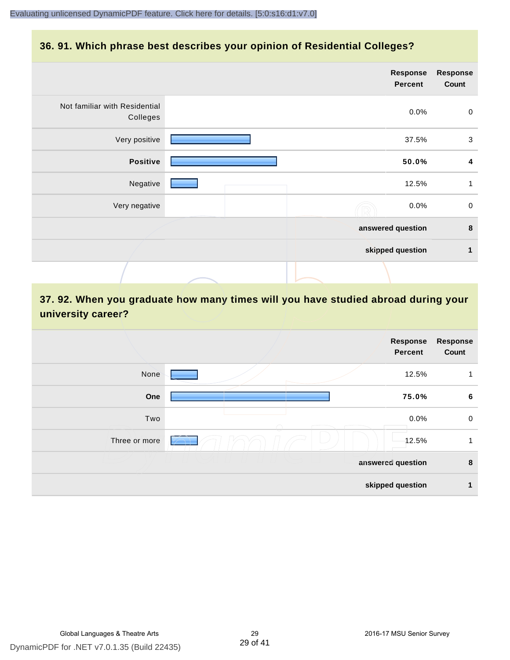### **36. 91. Which phrase best describes your opinion of Residential Colleges?**

|                                           | <b>Response</b><br><b>Percent</b> | <b>Response</b><br>Count |
|-------------------------------------------|-----------------------------------|--------------------------|
| Not familiar with Residential<br>Colleges | 0.0%                              | $\pmb{0}$                |
| Very positive                             | 37.5%                             | 3                        |
| <b>Positive</b>                           | 50.0%                             | $\overline{\mathbf{4}}$  |
| Negative                                  | 12.5%                             | 1                        |
| Very negative                             | 0.0%                              | $\pmb{0}$                |
|                                           | answered question                 | $\bf8$                   |
|                                           | skipped question                  | $\mathbf 1$              |
|                                           |                                   |                          |

## **37. 92. When you graduate how many times will you have studied abroad during your university career?**

|               | Response<br><b>Percent</b> | <b>Response</b><br>Count |
|---------------|----------------------------|--------------------------|
| None          | 12.5%                      |                          |
| One           | 75.0%                      | 6                        |
| Two           | 0.0%                       | $\boldsymbol{0}$         |
| Three or more | 12.5%                      | 1                        |
|               | answered question          | 8                        |
|               | skipped question           | 1                        |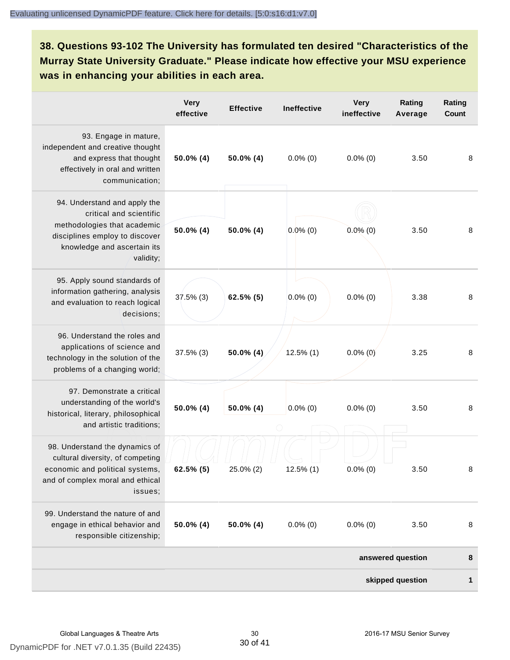**38. Questions 93-102 The University has formulated ten desired "Characteristics of the Murray State University Graduate." Please indicate how effective your MSU experience was in enhancing your abilities in each area.**

|                                                                                                                                                                      | <b>Very</b><br>effective | <b>Effective</b> | <b>Ineffective</b> | <b>Very</b><br>ineffective | Rating<br>Average | Rating<br>Count |
|----------------------------------------------------------------------------------------------------------------------------------------------------------------------|--------------------------|------------------|--------------------|----------------------------|-------------------|-----------------|
| 93. Engage in mature,<br>independent and creative thought<br>and express that thought<br>effectively in oral and written<br>communication;                           | $50.0\%$ (4)             | $50.0\%$ (4)     | $0.0\%$ (0)        | $0.0\%$ (0)                | 3.50              | 8               |
| 94. Understand and apply the<br>critical and scientific<br>methodologies that academic<br>disciplines employ to discover<br>knowledge and ascertain its<br>validity; | 50.0% (4)                | 50.0% (4)        | $0.0\%$ (0)        | $0.0\%$ (0)                | 3.50              | 8               |
| 95. Apply sound standards of<br>information gathering, analysis<br>and evaluation to reach logical<br>decisions;                                                     | 37.5% (3)                | $62.5\%$ (5)     | $0.0\%$ (0)        | $0.0\%$ (0)                | 3.38              | 8               |
| 96. Understand the roles and<br>applications of science and<br>technology in the solution of the<br>problems of a changing world;                                    | $37.5\%$ (3)             | 50.0% (4)        | $12.5\%$ (1)       | $0.0\%$ (0)                | 3.25              | 8               |
| 97. Demonstrate a critical<br>understanding of the world's<br>historical, literary, philosophical<br>and artistic traditions;                                        | 50.0% (4)                | 50.0% (4)        | $0.0\%$ (0)        | $0.0\%$ (0)                | 3.50              | 8               |
| 98. Understand the dynamics of<br>cultural diversity, of competing<br>economic and political systems,<br>and of complex moral and ethical<br>issues;                 | $62.5\%$ (5)             | 25.0% (2)        | $12.5\%$ (1)       | $0.0\%$ (0)                | 3.50              | 8               |
| 99. Understand the nature of and<br>engage in ethical behavior and<br>responsible citizenship;                                                                       | $50.0\%$ (4)             | 50.0% (4)        | $0.0\%$ (0)        | $0.0\%$ (0)                | 3.50              | 8               |
|                                                                                                                                                                      |                          |                  |                    |                            | answered question | 8               |
|                                                                                                                                                                      |                          |                  |                    |                            | skipped question  | 1               |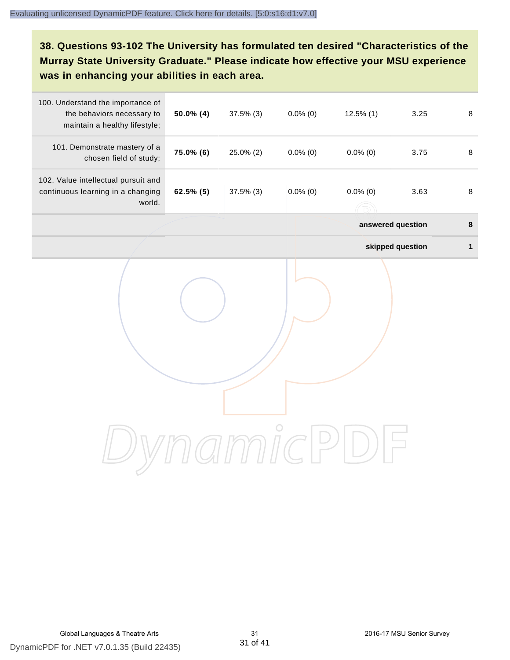**38. Questions 93-102 The University has formulated ten desired "Characteristics of the Murray State University Graduate." Please indicate how effective your MSU experience was in enhancing your abilities in each area.**

| 100. Understand the importance of<br>the behaviors necessary to<br>maintain a healthy lifestyle; | 50.0% (4) | 37.5% (3) | $0.0\%$ (0) | $12.5\%$ (1)      | 3.25             | $\, 8$       |
|--------------------------------------------------------------------------------------------------|-----------|-----------|-------------|-------------------|------------------|--------------|
| 101. Demonstrate mastery of a<br>chosen field of study;                                          | 75.0% (6) | 25.0% (2) | $0.0\%$ (0) | $0.0\%$ (0)       | 3.75             | 8            |
| 102. Value intellectual pursuit and<br>continuous learning in a changing<br>world.               | 62.5% (5) | 37.5% (3) | $0.0\%$ (0) | $0.0\%$ (0)       | 3.63             | $\, 8$       |
|                                                                                                  |           |           |             | answered question |                  | $\pmb{8}$    |
|                                                                                                  |           |           |             |                   | skipped question | $\mathbf{1}$ |
|                                                                                                  |           |           |             |                   |                  |              |
|                                                                                                  |           |           |             |                   |                  |              |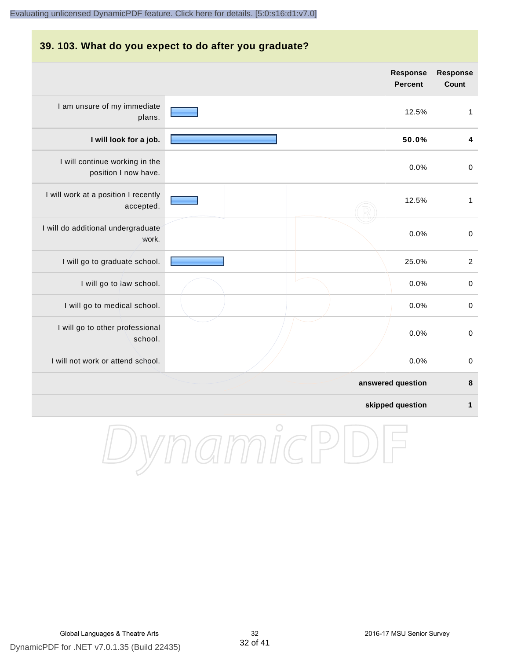#### **39. 103. What do you expect to do after you graduate?**

|                                                        | Response<br><b>Percent</b> | <b>Response</b><br>Count |
|--------------------------------------------------------|----------------------------|--------------------------|
| I am unsure of my immediate<br>plans.                  | 12.5%                      | $\mathbf{1}$             |
| I will look for a job.                                 | 50.0%                      | 4                        |
| I will continue working in the<br>position I now have. | 0.0%                       | $\mathbf 0$              |
| I will work at a position I recently<br>accepted.      | 12.5%                      | $\mathbf{1}$             |
| I will do additional undergraduate<br>work.            | 0.0%                       | $\pmb{0}$                |
| I will go to graduate school.                          | 25.0%                      | $\overline{2}$           |
| I will go to law school.                               | 0.0%                       | $\mathbf 0$              |
| I will go to medical school.                           | 0.0%                       | $\pmb{0}$                |
| I will go to other professional<br>school.             | 0.0%                       | $\pmb{0}$                |
| I will not work or attend school.                      | 0.0%                       | $\pmb{0}$                |
|                                                        | answered question          | 8                        |
|                                                        | skipped question           | $\mathbf 1$              |

DynamicPDF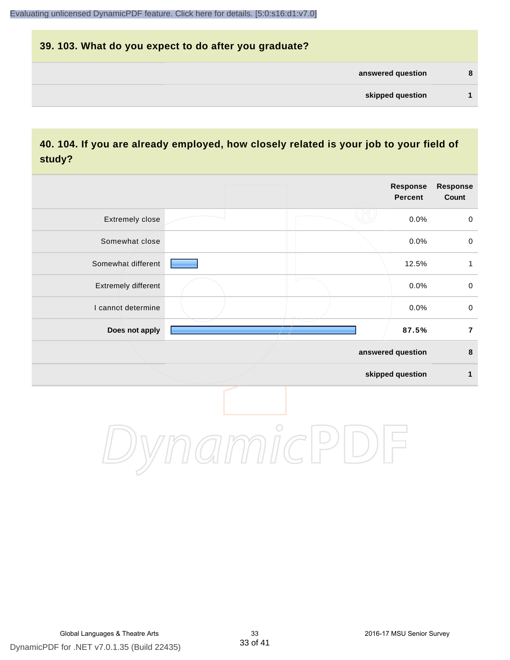# **39. 103. What do you expect to do after you graduate? answered question 8 skipped question 1**

## **40. 104. If you are already employed, how closely related is your job to your field of study?**

|                     |            | <b>Response</b><br><b>Percent</b> | Response<br>Count   |
|---------------------|------------|-----------------------------------|---------------------|
| Extremely close     |            | 0.0%                              | $\mathsf{O}\xspace$ |
| Somewhat close      |            | 0.0%                              | $\pmb{0}$           |
| Somewhat different  |            | 12.5%                             | $\mathbf{1}$        |
| Extremely different |            | 0.0%                              | $\mathsf{O}\xspace$ |
| I cannot determine  |            | 0.0%                              | $\mathbf 0$         |
| Does not apply      |            | 87.5%                             | $\overline{7}$      |
|                     |            | answered question                 | $\pmb{8}$           |
|                     |            | skipped question                  | $\mathbf{1}$        |
|                     | $\bigcirc$ |                                   |                     |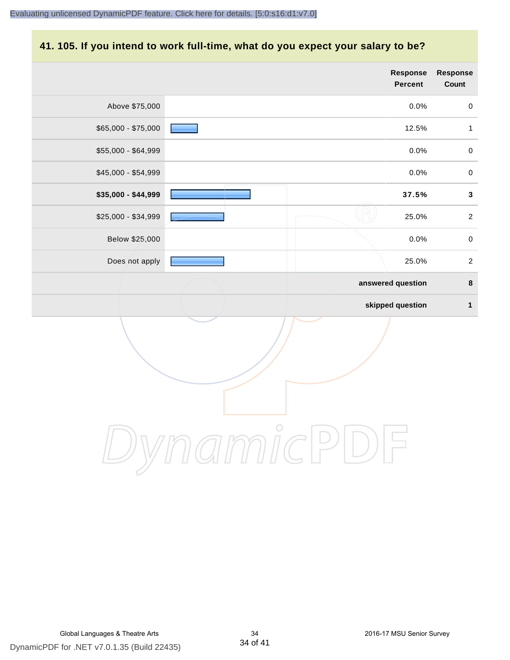#### **41. 105. If you intend to work full-time, what do you expect your salary to be?**

|                     | Response<br><b>Percent</b> | Response<br>Count |
|---------------------|----------------------------|-------------------|
| Above \$75,000      | 0.0%                       | $\mathbf 0$       |
| \$65,000 - \$75,000 | 12.5%                      | $\mathbf{1}$      |
| \$55,000 - \$64,999 | 0.0%                       | $\mathbf 0$       |
| \$45,000 - \$54,999 | 0.0%                       | $\mathbf 0$       |
| \$35,000 - \$44,999 | 37.5%                      | $\mathbf{3}$      |
| \$25,000 - \$34,999 | 25.0%                      | $\sqrt{2}$        |
| Below \$25,000      | 0.0%                       | $\mathbf 0$       |
| Does not apply      | 25.0%                      | $\sqrt{2}$        |
|                     | answered question          | $\pmb{8}$         |
|                     | skipped question           | $\mathbf{1}$      |
|                     |                            |                   |
|                     | $\bigcirc$                 |                   |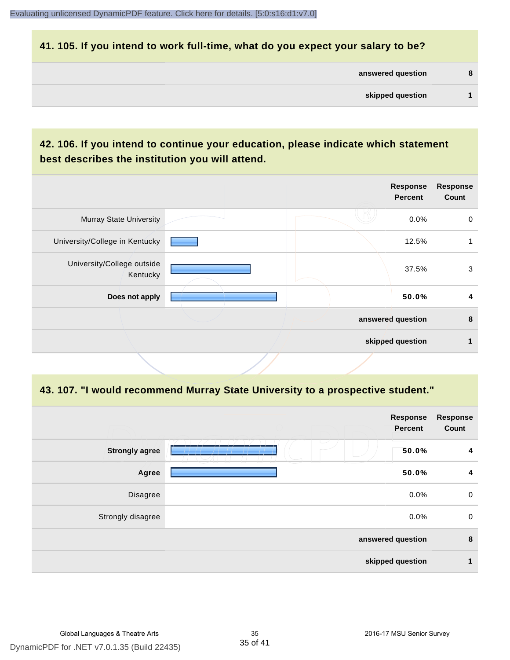#### **41. 105. If you intend to work full-time, what do you expect your salary to be?**

| answered question |  |
|-------------------|--|
| skipped question  |  |

## **42. 106. If you intend to continue your education, please indicate which statement best describes the institution you will attend.**

|                                        |  | <b>Response</b><br><b>Percent</b> | <b>Response</b><br>Count |
|----------------------------------------|--|-----------------------------------|--------------------------|
| <b>Murray State University</b>         |  | 0.0%                              | 0                        |
| University/College in Kentucky         |  | 12.5%                             |                          |
| University/College outside<br>Kentucky |  | 37.5%                             | 3                        |
| Does not apply                         |  | 50.0%                             | 4                        |
|                                        |  | answered question                 | 8                        |
|                                        |  | skipped question                  |                          |
|                                        |  |                                   |                          |

#### **43. 107. "I would recommend Murray State University to a prospective student."**

|                       | <b>Response</b><br><b>Percent</b> | <b>Response</b><br>Count |
|-----------------------|-----------------------------------|--------------------------|
| <b>Strongly agree</b> | $\overline{\phantom{a}}$<br>50.0% | 4                        |
| Agree                 | 50.0%                             | 4                        |
| Disagree              | 0.0%                              | $\mathbf 0$              |
| Strongly disagree     | 0.0%                              | $\pmb{0}$                |
|                       | answered question                 | 8                        |
|                       | skipped question                  | 1                        |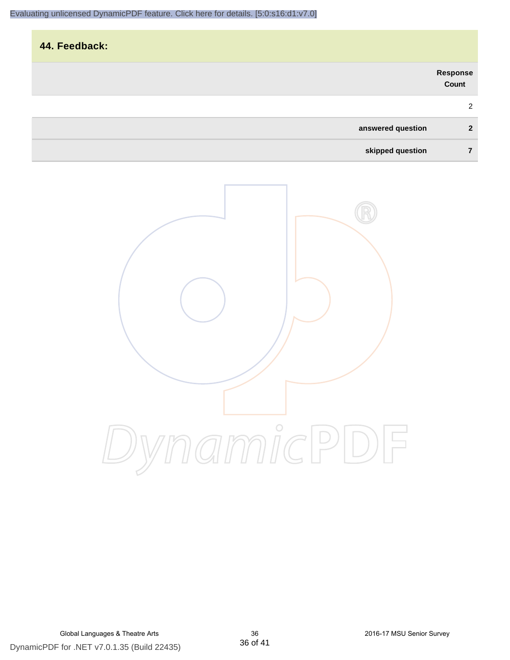|                   |                   | 44. Feedback: |
|-------------------|-------------------|---------------|
|                   | Response<br>Count |               |
|                   | 2                 |               |
| answered question | $\overline{2}$    |               |
| skipped question  | 7                 |               |

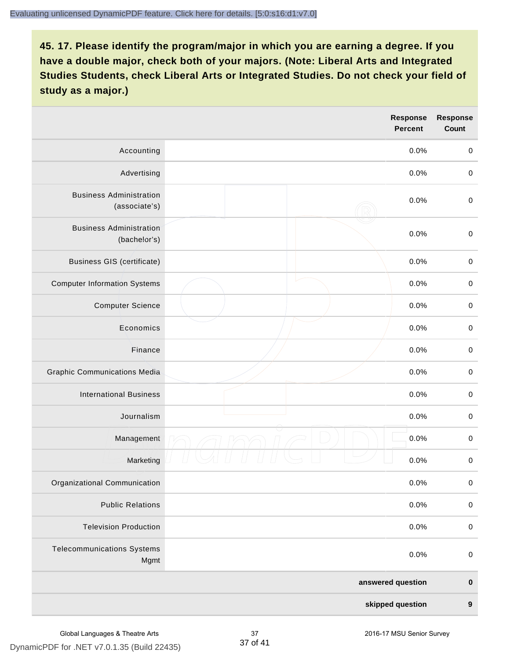|                                                 | Response<br><b>Percent</b> | <b>Response</b><br>Count |
|-------------------------------------------------|----------------------------|--------------------------|
| Accounting                                      | 0.0%                       | $\pmb{0}$                |
| Advertising                                     | 0.0%                       | $\mathbf 0$              |
| <b>Business Administration</b><br>(associate's) | 0.0%                       | $\mathbf 0$              |
| <b>Business Administration</b><br>(bachelor's)  | 0.0%                       | $\pmb{0}$                |
| <b>Business GIS (certificate)</b>               | 0.0%                       | $\mathbf 0$              |
| <b>Computer Information Systems</b>             | 0.0%                       | $\pmb{0}$                |
| <b>Computer Science</b>                         | 0.0%                       | $\mathbf 0$              |
| Economics                                       | 0.0%                       | $\mathbf 0$              |
| Finance                                         | 0.0%                       | $\pmb{0}$                |
| <b>Graphic Communications Media</b>             | 0.0%                       | $\mathbf 0$              |
| <b>International Business</b>                   | 0.0%                       | $\pmb{0}$                |
| Journalism                                      | 0.0%                       | $\pmb{0}$                |
| Management                                      | 0.0%                       | $\,0\,$                  |
| Marketing                                       | 0.0%                       | $\pmb{0}$                |
| Organizational Communication                    | 0.0%                       | $\pmb{0}$                |
| <b>Public Relations</b>                         | 0.0%                       | $\pmb{0}$                |
| <b>Television Production</b>                    | 0.0%                       | $\mathbf 0$              |
| <b>Telecommunications Systems</b><br>Mgmt       | 0.0%                       | $\pmb{0}$                |
|                                                 | answered question          | $\pmb{0}$                |
|                                                 | skipped question           | $\boldsymbol{9}$         |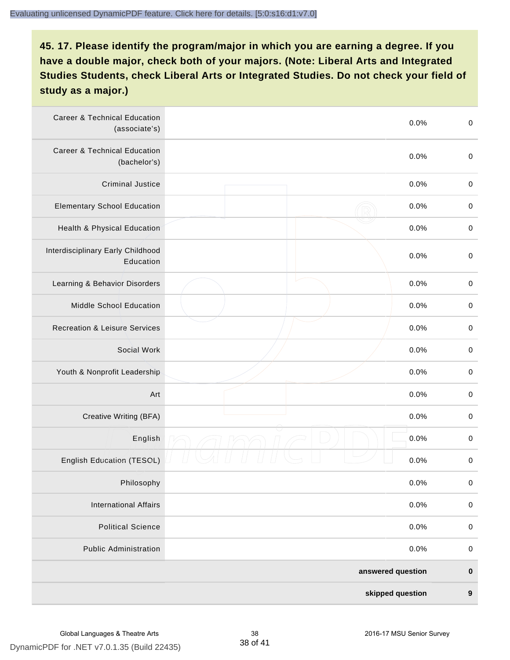| <b>Career &amp; Technical Education</b><br>(associate's) | 0.0%              | $\boldsymbol{0}$ |
|----------------------------------------------------------|-------------------|------------------|
| <b>Career &amp; Technical Education</b><br>(bachelor's)  | 0.0%              | $\boldsymbol{0}$ |
| <b>Criminal Justice</b>                                  | 0.0%              | $\boldsymbol{0}$ |
| <b>Elementary School Education</b>                       | 0.0%              | $\boldsymbol{0}$ |
| Health & Physical Education                              | 0.0%              | $\pmb{0}$        |
| Interdisciplinary Early Childhood<br>Education           | 0.0%              | $\boldsymbol{0}$ |
| Learning & Behavior Disorders                            | 0.0%              | $\boldsymbol{0}$ |
| Middle School Education                                  | 0.0%              | $\boldsymbol{0}$ |
| <b>Recreation &amp; Leisure Services</b>                 | 0.0%              | $\pmb{0}$        |
| Social Work                                              | 0.0%              | $\pmb{0}$        |
| Youth & Nonprofit Leadership                             | 0.0%              | $\boldsymbol{0}$ |
| Art                                                      | 0.0%              | $\boldsymbol{0}$ |
| Creative Writing (BFA)                                   | 0.0%              | $\boldsymbol{0}$ |
| English                                                  | 0.0%              | $\pmb{0}$        |
| <b>English Education (TESOL)</b>                         | 0.0%              | $\pmb{0}$        |
| Philosophy                                               | 0.0%              | 0                |
| <b>International Affairs</b>                             | 0.0%              | $\pmb{0}$        |
| <b>Political Science</b>                                 | 0.0%              | $\pmb{0}$        |
| <b>Public Administration</b>                             | 0.0%              | $\pmb{0}$        |
|                                                          | answered question | $\pmb{0}$        |
|                                                          | skipped question  | $\boldsymbol{9}$ |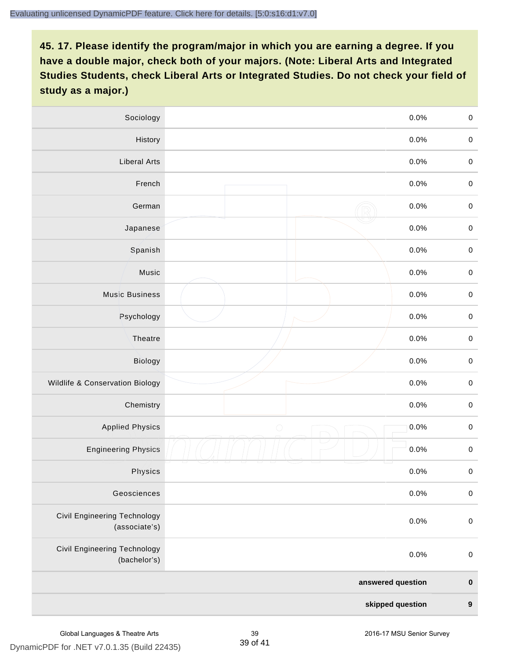| Sociology                                     | 0.0%               | $\mathbf 0$      |
|-----------------------------------------------|--------------------|------------------|
| History                                       | 0.0%               | $\mathbf 0$      |
| <b>Liberal Arts</b>                           | 0.0%               | $\mathbf 0$      |
| French                                        | 0.0%               | $\mathbf 0$      |
| German                                        | 0.0%               | $\mathbf 0$      |
| Japanese                                      | 0.0%               | $\pmb{0}$        |
| Spanish                                       | 0.0%               | $\mathbf 0$      |
| Music                                         | 0.0%               | $\mathbf 0$      |
| <b>Music Business</b>                         | 0.0%               | $\pmb{0}$        |
| Psychology                                    | 0.0%               | $\mathbf 0$      |
| Theatre                                       | 0.0%               | $\mathbf 0$      |
| <b>Biology</b>                                | 0.0%               | $\mathbf 0$      |
| Wildlife & Conservation Biology               | 0.0%               | $\pmb{0}$        |
| Chemistry                                     | 0.0%               | $\mathbf 0$      |
| <b>Applied Physics</b>                        | $\bigcirc$<br>0.0% | $\mathbf 0$      |
| <b>Engineering Physics</b>                    | 0.0%               | $\mathbf 0$      |
| Physics                                       | 0.0%               | $\mathbf 0$      |
| Geosciences                                   | 0.0%               | $\mathbf 0$      |
| Civil Engineering Technology<br>(associate's) | 0.0%               | $\mathbf 0$      |
| Civil Engineering Technology<br>(bachelor's)  | 0.0%               | $\pmb{0}$        |
|                                               | answered question  | $\mathbf 0$      |
|                                               | skipped question   | $\boldsymbol{9}$ |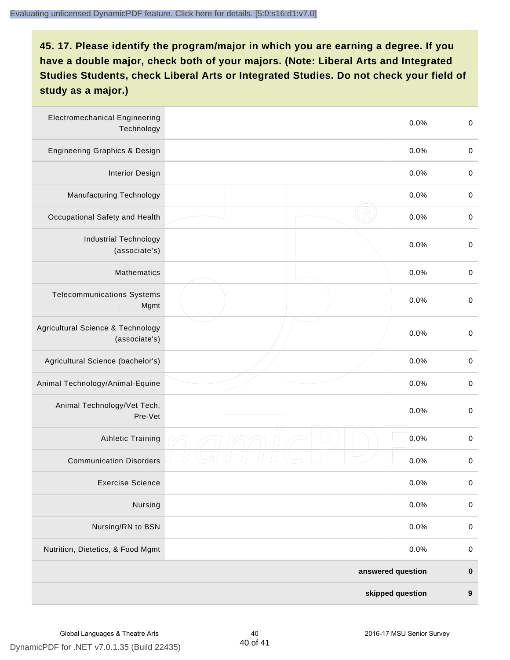| <b>Electromechanical Engineering</b><br>Technology | 0.0%              | $\boldsymbol{0}$ |
|----------------------------------------------------|-------------------|------------------|
| Engineering Graphics & Design                      | 0.0%              | $\pmb{0}$        |
| <b>Interior Design</b>                             | 0.0%              | $\boldsymbol{0}$ |
| Manufacturing Technology                           | 0.0%              | $\,0\,$          |
| Occupational Safety and Health                     | 0.0%              | $\boldsymbol{0}$ |
| <b>Industrial Technology</b><br>(associate's)      | 0.0%              | $\,0\,$          |
| Mathematics                                        | 0.0%              | $\pmb{0}$        |
| <b>Telecommunications Systems</b><br>Mgmt          | 0.0%              | $\boldsymbol{0}$ |
| Agricultural Science & Technology<br>(associate's) | 0.0%              | $\boldsymbol{0}$ |
| Agricultural Science (bachelor's)                  | 0.0%              | $\pmb{0}$        |
| Animal Technology/Animal-Equine                    | 0.0%              | $\boldsymbol{0}$ |
| Animal Technology/Vet Tech,<br>Pre-Vet             | 0.0%              | $\boldsymbol{0}$ |
| <b>Athletic Training</b>                           | 0.0%              | $\boldsymbol{0}$ |
| <b>Communication Disorders</b>                     | 0.0%              | $\boldsymbol{0}$ |
| <b>Exercise Science</b>                            | 0.0%              | $\pmb{0}$        |
| Nursing                                            | 0.0%              | $\pmb{0}$        |
| Nursing/RN to BSN                                  | 0.0%              | $\pmb{0}$        |
| Nutrition, Dietetics, & Food Mgmt                  | 0.0%              | $\pmb{0}$        |
|                                                    | answered question | $\pmb{0}$        |
|                                                    | skipped question  | $\boldsymbol{9}$ |